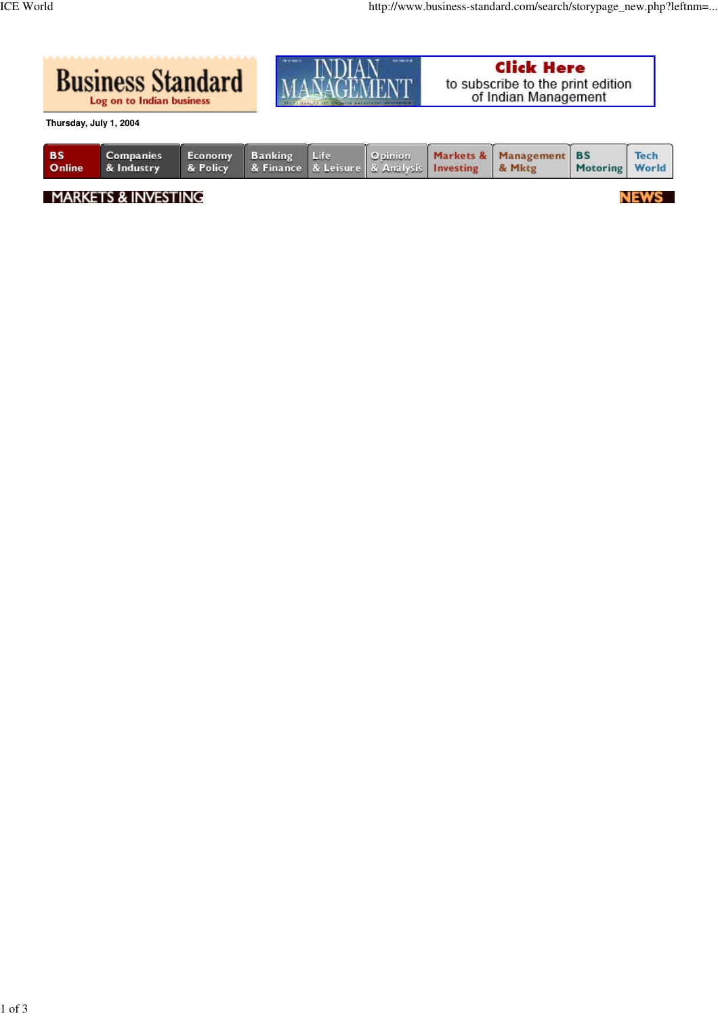

**Thursday, July 1, 2004**

| <b>BS</b> | Companies<br><b>Online</b> & Industry | Economy Banking Life |  |  | $\circ$ pinion | 8 Policy   & Finance   & Leisure   & Analysis   Investing   & Mktg | Markets & Management BS | Motoring World | <b>Tech</b> |
|-----------|---------------------------------------|----------------------|--|--|----------------|--------------------------------------------------------------------|-------------------------|----------------|-------------|
|-----------|---------------------------------------|----------------------|--|--|----------------|--------------------------------------------------------------------|-------------------------|----------------|-------------|

**MARKETS & INVESTING** 

NEWS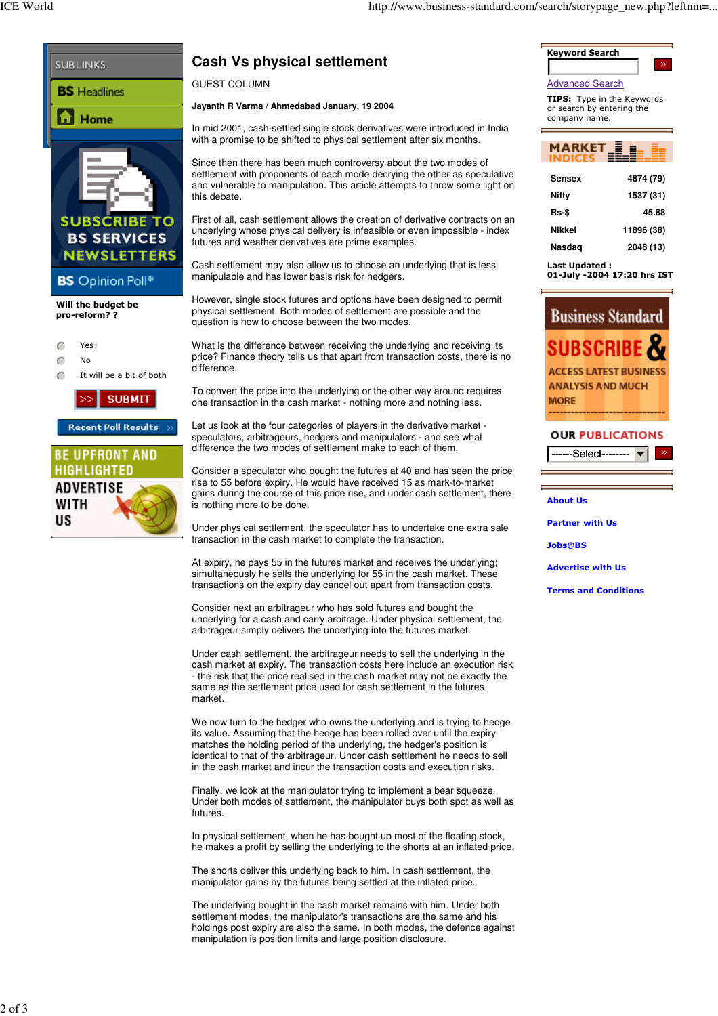

## **Cash Vs physical settlement**

**Jayanth R Varma / Ahmedabad January, 19 2004**

In mid 2001, cash-settled single stock derivatives were introduced in India with a promise to be shifted to physical settlement after six months.

Since then there has been much controversy about the two modes of settlement with proponents of each mode decrying the other as speculative and vulnerable to manipulation. This article attempts to throw some light on

First of all, cash settlement allows the creation of derivative contracts on an underlying whose physical delivery is infeasible or even impossible - index futures and weather derivatives are prime examples.

Cash settlement may also allow us to choose an underlying that is less manipulable and has lower basis risk for hedgers.

However, single stock futures and options have been designed to permit physical settlement. Both modes of settlement are possible and the question is how to choose between the two modes.

What is the difference between receiving the underlying and receiving its price? Finance theory tells us that apart from transaction costs, there is no

To convert the price into the underlying or the other way around requires one transaction in the cash market - nothing more and nothing less.

Let us look at the four categories of players in the derivative market speculators, arbitrageurs, hedgers and manipulators - and see what difference the two modes of settlement make to each of them.

Consider a speculator who bought the futures at 40 and has seen the price rise to 55 before expiry. He would have received 15 as mark-to-market gains during the course of this price rise, and under cash settlement, there is nothing more to be done.

Under physical settlement, the speculator has to undertake one extra sale transaction in the cash market to complete the transaction.

At expiry, he pays 55 in the futures market and receives the underlying; simultaneously he sells the underlying for 55 in the cash market. These transactions on the expiry day cancel out apart from transaction costs.

Consider next an arbitrageur who has sold futures and bought the underlying for a cash and carry arbitrage. Under physical settlement, the arbitrageur simply delivers the underlying into the futures market.

Under cash settlement, the arbitrageur needs to sell the underlying in the cash market at expiry. The transaction costs here include an execution risk - the risk that the price realised in the cash market may not be exactly the same as the settlement price used for cash settlement in the futures market.

We now turn to the hedger who owns the underlying and is trying to hedge its value. Assuming that the hedge has been rolled over until the expiry matches the holding period of the underlying, the hedger's position is identical to that of the arbitrageur. Under cash settlement he needs to sell in the cash market and incur the transaction costs and execution risks.

Finally, we look at the manipulator trying to implement a bear squeeze. Under both modes of settlement, the manipulator buys both spot as well as futures.

In physical settlement, when he has bought up most of the floating stock, he makes a profit by selling the underlying to the shorts at an inflated price.

The shorts deliver this underlying back to him. In cash settlement, the manipulator gains by the futures being settled at the inflated price.

The underlying bought in the cash market remains with him. Under both settlement modes, the manipulator's transactions are the same and his holdings post expiry are also the same. In both modes, the defence against manipulation is position limits and large position disclosure.



Advanced Search

**TIPS:** Type in the Keywords<br>or search by entering the company name.



| Sensex        | 4874 (79)  |
|---------------|------------|
| Nifty         | 1537 (31)  |
| Rs-\$         | 45.88      |
| <b>Nikkei</b> | 11896 (38) |
| Nasdag        | 2048 (13)  |

Last Updated : ast opaated :<br>01-July -2004 17:20 hrs IST



## **OUR PUBLICATIONS** ------Select-------- <del>v</del>

**About Us** 

**Partner with Us** 

Jobs@BS

**Advertise with Us** 

**Terms and Conditions**